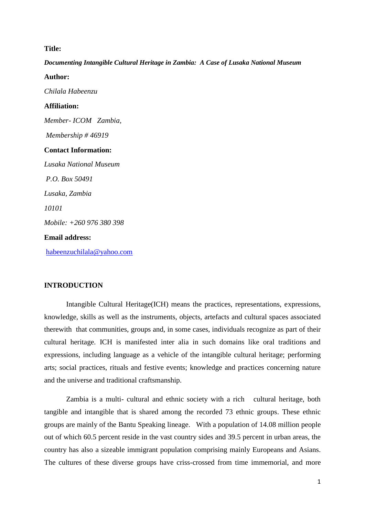#### **Title:**

### *Documenting Intangible Cultural Heritage in Zambia: A Case of Lusaka National Museum*

**Author:** *Chilala Habeenzu* **Affiliation:** *Member- ICOM Zambia, Membership # 46919* **Contact Information:** *Lusaka National Museum P.O. Box 50491 Lusaka, Zambia 10101 Mobile: +260 976 380 398* **Email address:** [habeenzuchilala@yahoo.com](mailto:habeenzuchilala@yahoo.com)

## **INTRODUCTION**

Intangible Cultural Heritage(ICH) means the practices, representations, expressions, knowledge, skills as well as the instruments, objects, artefacts and cultural spaces associated therewith that communities, groups and, in some cases, individuals recognize as part of their cultural heritage. ICH is manifested inter alia in such domains like oral traditions and expressions, including language as a vehicle of the intangible cultural heritage; performing arts; social practices, rituals and festive events; knowledge and practices concerning nature and the universe and traditional craftsmanship.

Zambia is a multi- cultural and ethnic society with a rich cultural heritage, both tangible and intangible that is shared among the recorded 73 ethnic groups. These ethnic groups are mainly of the Bantu Speaking lineage. With a population of 14.08 million people out of which 60.5 percent reside in the vast country sides and 39.5 percent in urban areas, the country has also a sizeable immigrant population comprising mainly Europeans and Asians. The cultures of these diverse groups have criss-crossed from time immemorial, and more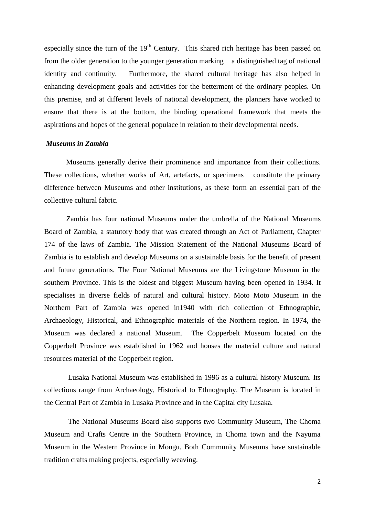especially since the turn of the  $19<sup>th</sup>$  Century. This shared rich heritage has been passed on from the older generation to the younger generation marking a distinguished tag of national identity and continuity. Furthermore, the shared cultural heritage has also helped in enhancing development goals and activities for the betterment of the ordinary peoples. On this premise, and at different levels of national development, the planners have worked to ensure that there is at the bottom, the binding operational framework that meets the aspirations and hopes of the general populace in relation to their developmental needs.

#### *Museums in Zambia*

Museums generally derive their prominence and importance from their collections. These collections, whether works of Art, artefacts, or specimens constitute the primary difference between Museums and other institutions, as these form an essential part of the collective cultural fabric.

Zambia has four national Museums under the umbrella of the National Museums Board of Zambia, a statutory body that was created through an Act of Parliament, Chapter 174 of the laws of Zambia. The Mission Statement of the National Museums Board of Zambia is to establish and develop Museums on a sustainable basis for the benefit of present and future generations. The Four National Museums are the Livingstone Museum in the southern Province. This is the oldest and biggest Museum having been opened in 1934. It specialises in diverse fields of natural and cultural history. Moto Moto Museum in the Northern Part of Zambia was opened in1940 with rich collection of Ethnographic, Archaeology, Historical, and Ethnographic materials of the Northern region. In 1974, the Museum was declared a national Museum. The Copperbelt Museum located on the Copperbelt Province was established in 1962 and houses the material culture and natural resources material of the Copperbelt region.

Lusaka National Museum was established in 1996 as a cultural history Museum. Its collections range from Archaeology, Historical to Ethnography. The Museum is located in the Central Part of Zambia in Lusaka Province and in the Capital city Lusaka.

The National Museums Board also supports two Community Museum, The Choma Museum and Crafts Centre in the Southern Province, in Choma town and the Nayuma Museum in the Western Province in Mongu. Both Community Museums have sustainable tradition crafts making projects, especially weaving.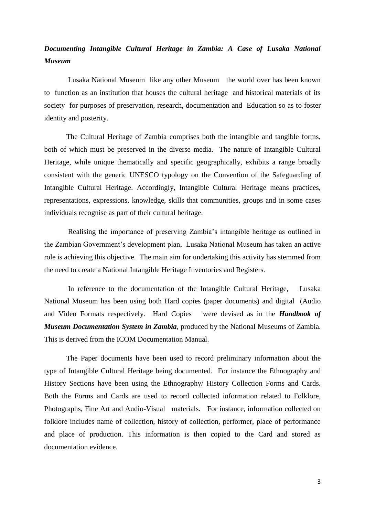# *Documenting Intangible Cultural Heritage in Zambia: A Case of Lusaka National Museum*

Lusaka National Museum like any other Museum the world over has been known to function as an institution that houses the cultural heritage and historical materials of its society for purposes of preservation, research, documentation and Education so as to foster identity and posterity.

The Cultural Heritage of Zambia comprises both the intangible and tangible forms, both of which must be preserved in the diverse media. The nature of Intangible Cultural Heritage, while unique thematically and specific geographically, exhibits a range broadly consistent with the generic UNESCO typology on the Convention of the Safeguarding of Intangible Cultural Heritage. Accordingly, Intangible Cultural Heritage means practices, representations, expressions, knowledge, skills that communities, groups and in some cases individuals recognise as part of their cultural heritage.

Realising the importance of preserving Zambia's intangible heritage as outlined in the Zambian Government's development plan, Lusaka National Museum has taken an active role is achieving this objective. The main aim for undertaking this activity has stemmed from the need to create a National Intangible Heritage Inventories and Registers.

In reference to the documentation of the Intangible Cultural Heritage, Lusaka National Museum has been using both Hard copies (paper documents) and digital (Audio and Video Formats respectively. Hard Copies were devised as in the *Handbook of Museum Documentation System in Zambia*, produced by the National Museums of Zambia. This is derived from the ICOM Documentation Manual.

The Paper documents have been used to record preliminary information about the type of Intangible Cultural Heritage being documented. For instance the Ethnography and History Sections have been using the Ethnography/ History Collection Forms and Cards. Both the Forms and Cards are used to record collected information related to Folklore, Photographs, Fine Art and Audio-Visual materials. For instance, information collected on folklore includes name of collection, history of collection, performer, place of performance and place of production. This information is then copied to the Card and stored as documentation evidence.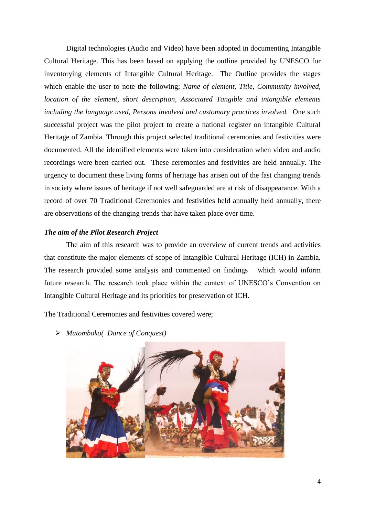Digital technologies (Audio and Video) have been adopted in documenting Intangible Cultural Heritage. This has been based on applying the outline provided by UNESCO for inventorying elements of Intangible Cultural Heritage. The Outline provides the stages which enable the user to note the following; *Name of element, Title, Community involved, location of the element, short description, Associated Tangible and intangible elements including the language used, Persons involved and customary practices involved.* One such successful project was the pilot project to create a national register on intangible Cultural Heritage of Zambia. Through this project selected traditional ceremonies and festivities were documented. All the identified elements were taken into consideration when video and audio recordings were been carried out. These ceremonies and festivities are held annually. The urgency to document these living forms of heritage has arisen out of the fast changing trends in society where issues of heritage if not well safeguarded are at risk of disappearance. With a record of over 70 Traditional Ceremonies and festivities held annually held annually, there are observations of the changing trends that have taken place over time.

### *The aim of the Pilot Research Project*

The aim of this research was to provide an overview of current trends and activities that constitute the major elements of scope of Intangible Cultural Heritage (ICH) in Zambia. The research provided some analysis and commented on findings which would inform future research. The research took place within the context of UNESCO's Convention on Intangible Cultural Heritage and its priorities for preservation of ICH.

The Traditional Ceremonies and festivities covered were;

*Mutomboko( Dance of Conquest)*

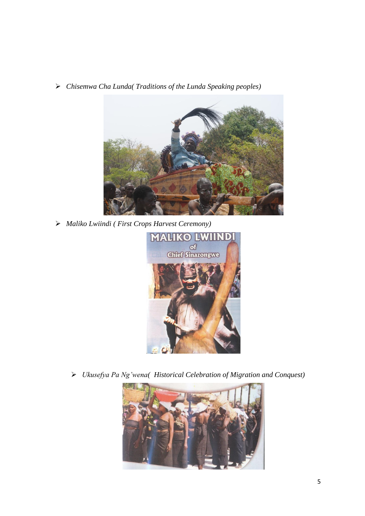*Chisemwa Cha Lunda( Traditions of the Lunda Speaking peoples)*



*Maliko Lwiindi ( First Crops Harvest Ceremony)*



*Ukusefya Pa Ng'wena( Historical Celebration of Migration and Conquest)*

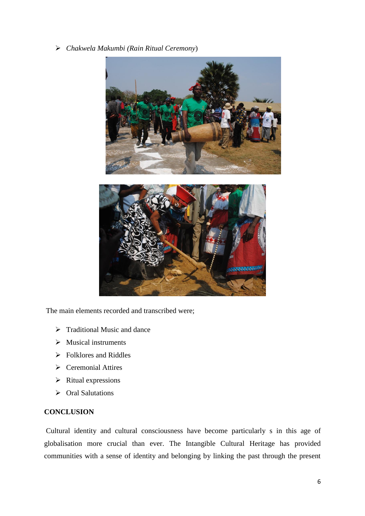*Chakwela Makumbi (Rain Ritual Ceremony*)



The main elements recorded and transcribed were;

- $\triangleright$  Traditional Music and dance
- $\triangleright$  Musical instruments
- $\triangleright$  Folklores and Riddles
- $\triangleright$  Ceremonial Attires
- $\triangleright$  Ritual expressions
- ▶ Oral Salutations

# **CONCLUSION**

Cultural identity and cultural consciousness have become particularly s in this age of globalisation more crucial than ever. The Intangible Cultural Heritage has provided communities with a sense of identity and belonging by linking the past through the present